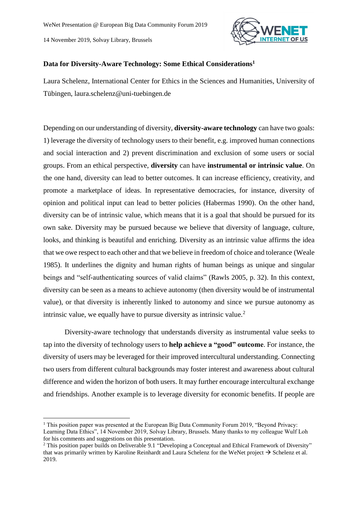**.** 



## **Data for Diversity-Aware Technology: Some Ethical Considerations<sup>1</sup>**

Laura Schelenz, International Center for Ethics in the Sciences and Humanities, University of Tübingen, laura.schelenz@uni-tuebingen.de

Depending on our understanding of diversity, **diversity-aware technology** can have two goals: 1) leverage the diversity of technology users to their benefit, e.g. improved human connections and social interaction and 2) prevent discrimination and exclusion of some users or social groups. From an ethical perspective, **diversity** can have **instrumental or intrinsic value**. On the one hand, diversity can lead to better outcomes. It can increase efficiency, creativity, and promote a marketplace of ideas. In representative democracies, for instance, diversity of opinion and political input can lead to better policies (Habermas 1990). On the other hand, diversity can be of intrinsic value, which means that it is a goal that should be pursued for its own sake. Diversity may be pursued because we believe that diversity of language, culture, looks, and thinking is beautiful and enriching. Diversity as an intrinsic value affirms the idea that we owe respect to each other and that we believe in freedom of choice and tolerance (Weale 1985). It underlines the dignity and human rights of human beings as unique and singular beings and "self-authenticating sources of valid claims" (Rawls 2005, p. 32). In this context, diversity can be seen as a means to achieve autonomy (then diversity would be of instrumental value), or that diversity is inherently linked to autonomy and since we pursue autonomy as intrinsic value, we equally have to pursue diversity as intrinsic value.<sup>2</sup>

Diversity-aware technology that understands diversity as instrumental value seeks to tap into the diversity of technology users to **help achieve a "good" outcome**. For instance, the diversity of users may be leveraged for their improved intercultural understanding. Connecting two users from different cultural backgrounds may foster interest and awareness about cultural difference and widen the horizon of both users. It may further encourage intercultural exchange and friendships. Another example is to leverage diversity for economic benefits. If people are

<sup>&</sup>lt;sup>1</sup> This position paper was presented at the European Big Data Community Forum 2019, "Beyond Privacy: Learning Data Ethics", 14 November 2019, Solvay Library, Brussels. Many thanks to my colleague Wulf Loh for his comments and suggestions on this presentation.

<sup>&</sup>lt;sup>2</sup> This position paper builds on Deliverable 9.1 "Developing a Conceptual and Ethical Framework of Diversity" that was primarily written by Karoline Reinhardt and Laura Schelenz for the WeNet project  $\rightarrow$  Schelenz et al. 2019.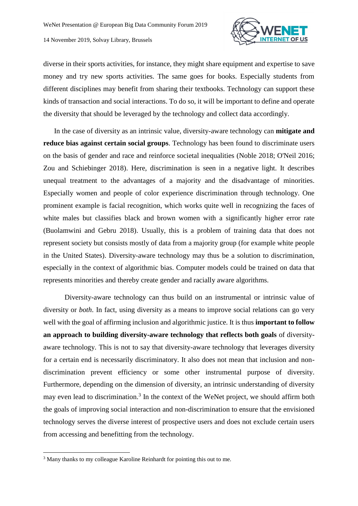

diverse in their sports activities, for instance, they might share equipment and expertise to save money and try new sports activities. The same goes for books. Especially students from different disciplines may benefit from sharing their textbooks. Technology can support these kinds of transaction and social interactions. To do so, it will be important to define and operate the diversity that should be leveraged by the technology and collect data accordingly.

In the case of diversity as an intrinsic value, diversity-aware technology can **mitigate and reduce bias against certain social groups**. Technology has been found to discriminate users on the basis of gender and race and reinforce societal inequalities (Noble 2018; O'Neil 2016; Zou and Schiebinger 2018). Here, discrimination is seen in a negative light. It describes unequal treatment to the advantages of a majority and the disadvantage of minorities. Especially women and people of color experience discrimination through technology. One prominent example is facial recognition, which works quite well in recognizing the faces of white males but classifies black and brown women with a significantly higher error rate (Buolamwini and Gebru 2018). Usually, this is a problem of training data that does not represent society but consists mostly of data from a majority group (for example white people in the United States). Diversity-aware technology may thus be a solution to discrimination, especially in the context of algorithmic bias. Computer models could be trained on data that represents minorities and thereby create gender and racially aware algorithms.

Diversity-aware technology can thus build on an instrumental or intrinsic value of diversity or *both*. In fact, using diversity as a means to improve social relations can go very well with the goal of affirming inclusion and algorithmic justice. It is thus **important to follow an approach to building diversity-aware technology that reflects both goals** of diversityaware technology. This is not to say that diversity-aware technology that leverages diversity for a certain end is necessarily discriminatory. It also does not mean that inclusion and nondiscrimination prevent efficiency or some other instrumental purpose of diversity. Furthermore, depending on the dimension of diversity, an intrinsic understanding of diversity may even lead to discrimination.<sup>3</sup> In the context of the WeNet project, we should affirm both the goals of improving social interaction and non-discrimination to ensure that the envisioned technology serves the diverse interest of prospective users and does not exclude certain users from accessing and benefitting from the technology.

**.** 

<sup>&</sup>lt;sup>3</sup> Many thanks to my colleague Karoline Reinhardt for pointing this out to me.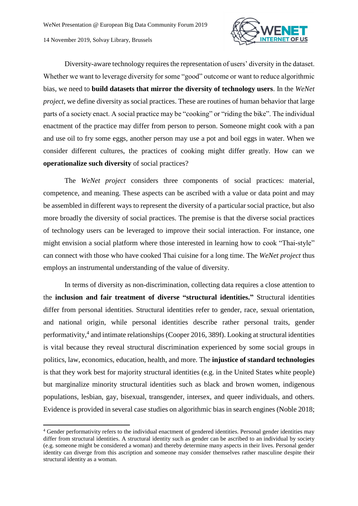1



Diversity-aware technology requires the representation of users' diversity in the dataset. Whether we want to leverage diversity for some "good" outcome or want to reduce algorithmic bias, we need to **build datasets that mirror the diversity of technology users**. In the *WeNet project*, we define diversity as social practices. These are routines of human behavior that large parts of a society enact. A social practice may be "cooking" or "riding the bike". The individual enactment of the practice may differ from person to person. Someone might cook with a pan and use oil to fry some eggs, another person may use a pot and boil eggs in water. When we consider different cultures, the practices of cooking might differ greatly. How can we **operationalize such diversity** of social practices?

The *WeNet project* considers three components of social practices: material, competence, and meaning. These aspects can be ascribed with a value or data point and may be assembled in different ways to represent the diversity of a particular social practice, but also more broadly the diversity of social practices. The premise is that the diverse social practices of technology users can be leveraged to improve their social interaction. For instance, one might envision a social platform where those interested in learning how to cook "Thai-style" can connect with those who have cooked Thai cuisine for a long time. The *WeNet project* thus employs an instrumental understanding of the value of diversity.

In terms of diversity as non-discrimination, collecting data requires a close attention to the **inclusion and fair treatment of diverse "structural identities."** Structural identities differ from personal identities. Structural identities refer to gender, race, sexual orientation, and national origin, while personal identities describe rather personal traits, gender performativity,<sup>4</sup> and intimate relationships (Cooper 2016, 389f). Looking at structural identities is vital because they reveal structural discrimination experienced by some social groups in politics, law, economics, education, health, and more. The **injustice of standard technologies** is that they work best for majority structural identities (e.g. in the United States white people) but marginalize minority structural identities such as black and brown women, indigenous populations, lesbian, gay, bisexual, transgender, intersex, and queer individuals, and others. Evidence is provided in several case studies on algorithmic bias in search engines (Noble 2018;

<sup>4</sup> Gender performativity refers to the individual enactment of gendered identities. Personal gender identities may differ from structural identities. A structural identity such as gender can be ascribed to an individual by society (e.g. someone might be considered a woman) and thereby determine many aspects in their lives. Personal gender identity can diverge from this ascription and someone may consider themselves rather masculine despite their structural identity as a woman.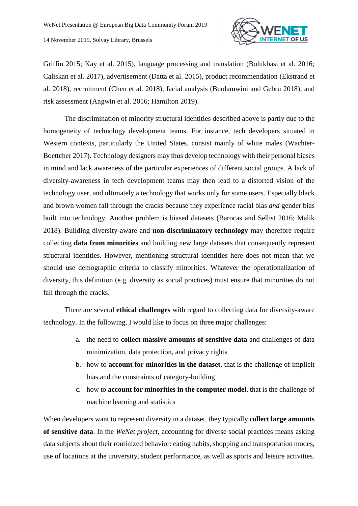

Griffin 2015; Kay et al. 2015), language processing and translation (Bolukbasi et al. 2016; Caliskan et al. 2017), advertisement (Datta et al. 2015), product recommendation (Ekstrand et al. 2018), recruitment (Chen et al. 2018), facial analysis (Buolamwini and Gebru 2018), and risk assessment (Angwin et al. 2016; Hamilton 2019).

The discrimination of minority structural identities described above is partly due to the homogeneity of technology development teams. For instance, tech developers situated in Western contexts, particularly the United States, consist mainly of white males (Wachter-Boettcher 2017). Technology designers may thus develop technology with their personal biases in mind and lack awareness of the particular experiences of different social groups. A lack of diversity-awareness in tech development teams may then lead to a distorted vision of the technology user, and ultimately a technology that works only for some users. Especially black and brown women fall through the cracks because they experience racial bias *and* gender bias built into technology. Another problem is biased datasets (Barocas and Selbst 2016; Malik 2018). Building diversity-aware and **non-discriminatory technology** may therefore require collecting **data from minorities** and building new large datasets that consequently represent structural identities. However, mentioning structural identities here does not mean that we should use demographic criteria to classify minorities. Whatever the operationalization of diversity, this definition (e.g. diversity as social practices) must ensure that minorities do not fall through the cracks.

There are several **ethical challenges** with regard to collecting data for diversity-aware technology. In the following, I would like to focus on three major challenges:

- a. the need to **collect massive amounts of sensitive data** and challenges of data minimization, data protection, and privacy rights
- b. how to **account for minorities in the dataset**, that is the challenge of implicit bias and the constraints of category-building
- c. how to **account for minorities in the computer model**, that is the challenge of machine learning and statistics

When developers want to represent diversity in a dataset, they typically **collect large amounts of sensitive data**. In the *WeNet project*, accounting for diverse social practices means asking data subjects about their routinized behavior: eating habits, shopping and transportation modes, use of locations at the university, student performance, as well as sports and leisure activities.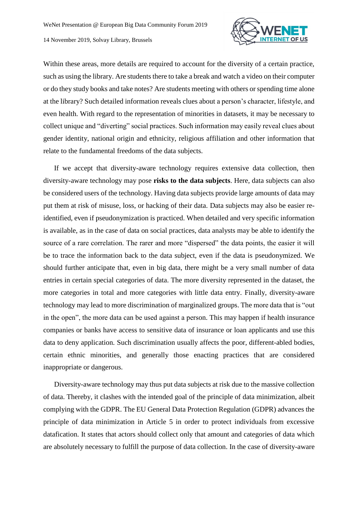

Within these areas, more details are required to account for the diversity of a certain practice, such as using the library. Are students there to take a break and watch a video on their computer or do they study books and take notes? Are students meeting with others or spending time alone at the library? Such detailed information reveals clues about a person's character, lifestyle, and even health. With regard to the representation of minorities in datasets, it may be necessary to collect unique and "diverting" social practices. Such information may easily reveal clues about gender identity, national origin and ethnicity, religious affiliation and other information that relate to the fundamental freedoms of the data subjects.

If we accept that diversity-aware technology requires extensive data collection, then diversity-aware technology may pose **risks to the data subjects**. Here, data subjects can also be considered users of the technology. Having data subjects provide large amounts of data may put them at risk of misuse, loss, or hacking of their data. Data subjects may also be easier reidentified, even if pseudonymization is practiced. When detailed and very specific information is available, as in the case of data on social practices, data analysts may be able to identify the source of a rare correlation. The rarer and more "dispersed" the data points, the easier it will be to trace the information back to the data subject, even if the data is pseudonymized. We should further anticipate that, even in big data, there might be a very small number of data entries in certain special categories of data. The more diversity represented in the dataset, the more categories in total and more categories with little data entry. Finally, diversity-aware technology may lead to more discrimination of marginalized groups. The more data that is "out in the open", the more data can be used against a person. This may happen if health insurance companies or banks have access to sensitive data of insurance or loan applicants and use this data to deny application. Such discrimination usually affects the poor, different-abled bodies, certain ethnic minorities, and generally those enacting practices that are considered inappropriate or dangerous.

Diversity-aware technology may thus put data subjects at risk due to the massive collection of data. Thereby, it clashes with the intended goal of the principle of data minimization, albeit complying with the GDPR. The EU General Data Protection Regulation (GDPR) advances the principle of data minimization in Article 5 in order to protect individuals from excessive datafication. It states that actors should collect only that amount and categories of data which are absolutely necessary to fulfill the purpose of data collection. In the case of diversity-aware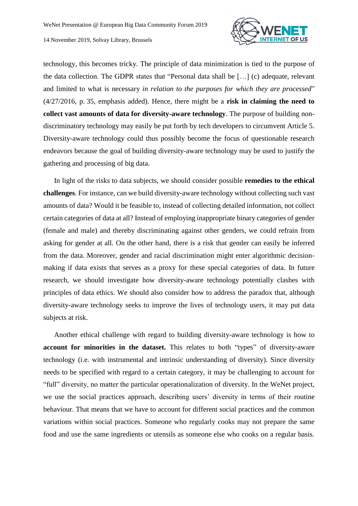

technology, this becomes tricky. The principle of data minimization is tied to the purpose of the data collection. The GDPR states that "Personal data shall be […] (c) adequate, relevant and limited to what is necessary *in relation to the purposes for which they are processed*" (4/27/2016, p. 35, emphasis added). Hence, there might be a **risk in claiming the need to collect vast amounts of data for diversity-aware technology**. The purpose of building nondiscriminatory technology may easily be put forth by tech developers to circumvent Article 5. Diversity-aware technology could thus possibly become the focus of questionable research endeavors because the goal of building diversity-aware technology may be used to justify the gathering and processing of big data.

In light of the risks to data subjects, we should consider possible **remedies to the ethical challenges**. For instance, can we build diversity-aware technology without collecting such vast amounts of data? Would it be feasible to, instead of collecting detailed information, not collect certain categories of data at all? Instead of employing inappropriate binary categories of gender (female and male) and thereby discriminating against other genders, we could refrain from asking for gender at all. On the other hand, there is a risk that gender can easily be inferred from the data. Moreover, gender and racial discrimination might enter algorithmic decisionmaking if data exists that serves as a proxy for these special categories of data. In future research, we should investigate how diversity-aware technology potentially clashes with principles of data ethics. We should also consider how to address the paradox that, although diversity-aware technology seeks to improve the lives of technology users, it may put data subjects at risk.

Another ethical challenge with regard to building diversity-aware technology is how to **account for minorities in the dataset.** This relates to both "types" of diversity-aware technology (i.e. with instrumental and intrinsic understanding of diversity). Since diversity needs to be specified with regard to a certain category, it may be challenging to account for "full" diversity, no matter the particular operationalization of diversity. In the WeNet project, we use the social practices approach, describing users' diversity in terms of their routine behaviour. That means that we have to account for different social practices and the common variations within social practices. Someone who regularly cooks may not prepare the same food and use the same ingredients or utensils as someone else who cooks on a regular basis.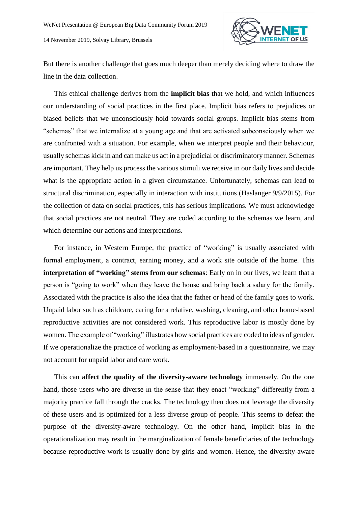

But there is another challenge that goes much deeper than merely deciding where to draw the line in the data collection.

This ethical challenge derives from the **implicit bias** that we hold, and which influences our understanding of social practices in the first place. Implicit bias refers to prejudices or biased beliefs that we unconsciously hold towards social groups. Implicit bias stems from "schemas" that we internalize at a young age and that are activated subconsciously when we are confronted with a situation. For example, when we interpret people and their behaviour, usually schemas kick in and can make us act in a prejudicial or discriminatory manner. Schemas are important. They help us process the various stimuli we receive in our daily lives and decide what is the appropriate action in a given circumstance. Unfortunately, schemas can lead to structural discrimination, especially in interaction with institutions (Haslanger 9/9/2015). For the collection of data on social practices, this has serious implications. We must acknowledge that social practices are not neutral. They are coded according to the schemas we learn, and which determine our actions and interpretations.

For instance, in Western Europe, the practice of "working" is usually associated with formal employment, a contract, earning money, and a work site outside of the home. This **interpretation of "working" stems from our schemas**: Early on in our lives, we learn that a person is "going to work" when they leave the house and bring back a salary for the family. Associated with the practice is also the idea that the father or head of the family goes to work. Unpaid labor such as childcare, caring for a relative, washing, cleaning, and other home-based reproductive activities are not considered work. This reproductive labor is mostly done by women. The example of "working" illustrates how social practices are coded to ideas of gender. If we operationalize the practice of working as employment-based in a questionnaire, we may not account for unpaid labor and care work.

This can **affect the quality of the diversity-aware technology** immensely. On the one hand, those users who are diverse in the sense that they enact "working" differently from a majority practice fall through the cracks. The technology then does not leverage the diversity of these users and is optimized for a less diverse group of people. This seems to defeat the purpose of the diversity-aware technology. On the other hand, implicit bias in the operationalization may result in the marginalization of female beneficiaries of the technology because reproductive work is usually done by girls and women. Hence, the diversity-aware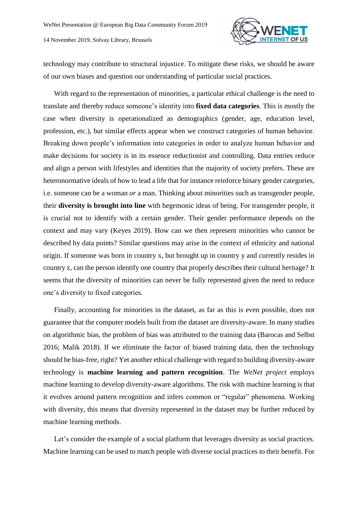

technology may contribute to structural injustice. To mitigate these risks, we should be aware of our own biases and question our understanding of particular social practices.

With regard to the representation of minorities, a particular ethical challenge is the need to translate and thereby reduce someone's identity into **fixed data categories**. This is mostly the case when diversity is operationalized as demographics (gender, age, education level, profession, etc.), but similar effects appear when we construct categories of human behavior. Breaking down people's information into categories in order to analyze human behavior and make decisions for society is in its essence reductionist and controlling. Data entries reduce and align a person with lifestyles and identities that the majority of society prefers. These are heteronormative ideals of how to lead a life that for instance reinforce binary gender categories, i.e. someone can be a woman *or* a man. Thinking about minorities such as transgender people, their **diversity is brought into line** with hegemonic ideas of being. For transgender people, it is crucial not to identify with a certain gender. Their gender performance depends on the context and may vary (Keyes 2019). How can we then represent minorities who cannot be described by data points? Similar questions may arise in the context of ethnicity and national origin. If someone was born in country x, but brought up in country y and currently resides in country z, can the person identify one country that properly describes their cultural heritage? It seems that the diversity of minorities can never be fully represented given the need to reduce one's diversity to fixed categories.

Finally, accounting for minorities in the dataset, as far as this is even possible, does not guarantee that the computer models built from the dataset are diversity-aware. In many studies on algorithmic bias, the problem of bias was attributed to the training data (Barocas and Selbst 2016; Malik 2018). If we eliminate the factor of biased training data, then the technology should be bias-free, right? Yet another ethical challenge with regard to building diversity-aware technology is **machine learning and pattern recognition**. The *WeNet project* employs machine learning to develop diversity-aware algorithms. The risk with machine learning is that it evolves around pattern recognition and infers common or "regular" phenomena. Working with diversity, this means that diversity represented in the dataset may be further reduced by machine learning methods.

Let's consider the example of a social platform that leverages diversity as social practices. Machine learning can be used to match people with diverse social practices to their benefit. For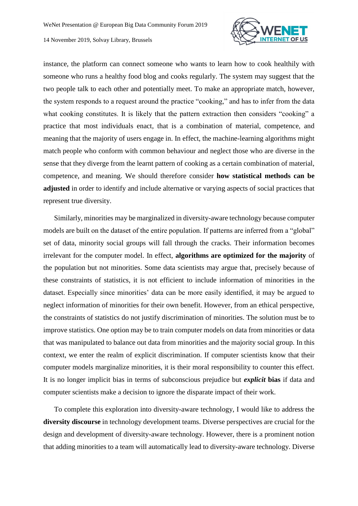

instance, the platform can connect someone who wants to learn how to cook healthily with someone who runs a healthy food blog and cooks regularly. The system may suggest that the two people talk to each other and potentially meet. To make an appropriate match, however, the system responds to a request around the practice "cooking," and has to infer from the data what cooking constitutes. It is likely that the pattern extraction then considers "cooking" a practice that most individuals enact, that is a combination of material, competence, and meaning that the majority of users engage in. In effect, the machine-learning algorithms might match people who conform with common behaviour and neglect those who are diverse in the sense that they diverge from the learnt pattern of cooking as a certain combination of material, competence, and meaning. We should therefore consider **how statistical methods can be adjusted** in order to identify and include alternative or varying aspects of social practices that represent true diversity.

Similarly, minorities may be marginalized in diversity-aware technology because computer models are built on the dataset of the entire population. If patterns are inferred from a "global" set of data, minority social groups will fall through the cracks. Their information becomes irrelevant for the computer model. In effect, **algorithms are optimized for the majority** of the population but not minorities. Some data scientists may argue that, precisely because of these constraints of statistics, it is not efficient to include information of minorities in the dataset. Especially since minorities' data can be more easily identified, it may be argued to neglect information of minorities for their own benefit. However, from an ethical perspective, the constraints of statistics do not justify discrimination of minorities. The solution must be to improve statistics. One option may be to train computer models on data from minorities or data that was manipulated to balance out data from minorities and the majority social group. In this context, we enter the realm of explicit discrimination. If computer scientists know that their computer models marginalize minorities, it is their moral responsibility to counter this effect. It is no longer implicit bias in terms of subconscious prejudice but *explicit* **bias** if data and computer scientists make a decision to ignore the disparate impact of their work.

To complete this exploration into diversity-aware technology, I would like to address the **diversity discourse** in technology development teams. Diverse perspectives are crucial for the design and development of diversity-aware technology. However, there is a prominent notion that adding minorities to a team will automatically lead to diversity-aware technology. Diverse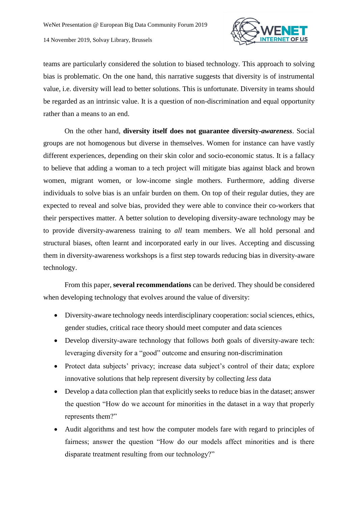

teams are particularly considered the solution to biased technology. This approach to solving bias is problematic. On the one hand, this narrative suggests that diversity is of instrumental value, i.e. diversity will lead to better solutions. This is unfortunate. Diversity in teams should be regarded as an intrinsic value. It is a question of non-discrimination and equal opportunity rather than a means to an end.

On the other hand, **diversity itself does not guarantee diversity-***awareness*. Social groups are not homogenous but diverse in themselves. Women for instance can have vastly different experiences, depending on their skin color and socio-economic status. It is a fallacy to believe that adding a woman to a tech project will mitigate bias against black and brown women, migrant women, or low-income single mothers. Furthermore, adding diverse individuals to solve bias is an unfair burden on them. On top of their regular duties, they are expected to reveal and solve bias, provided they were able to convince their co-workers that their perspectives matter. A better solution to developing diversity-aware technology may be to provide diversity-awareness training to *all* team members. We all hold personal and structural biases, often learnt and incorporated early in our lives. Accepting and discussing them in diversity-awareness workshops is a first step towards reducing bias in diversity-aware technology.

From this paper, **several recommendations** can be derived. They should be considered when developing technology that evolves around the value of diversity:

- Diversity-aware technology needs interdisciplinary cooperation: social sciences, ethics, gender studies, critical race theory should meet computer and data sciences
- Develop diversity-aware technology that follows *both* goals of diversity-aware tech: leveraging diversity for a "good" outcome and ensuring non-discrimination
- Protect data subjects' privacy; increase data subject's control of their data; explore innovative solutions that help represent diversity by collecting *less* data
- Develop a data collection plan that explicitly seeks to reduce bias in the dataset; answer the question "How do we account for minorities in the dataset in a way that properly represents them?"
- Audit algorithms and test how the computer models fare with regard to principles of fairness; answer the question "How do our models affect minorities and is there disparate treatment resulting from our technology?"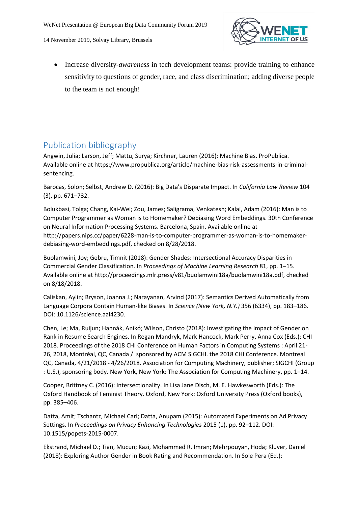

 Increase diversity-*awareness* in tech development teams: provide training to enhance sensitivity to questions of gender, race, and class discrimination; adding diverse people to the team is not enough!

## Publication bibliography

Angwin, Julia; Larson, Jeff; Mattu, Surya; Kirchner, Lauren (2016): Machine Bias. ProPublica. Available online at https://www.propublica.org/article/machine-bias-risk-assessments-in-criminalsentencing.

Barocas, Solon; Selbst, Andrew D. (2016): Big Data's Disparate Impact. In *California Law Review* 104 (3), pp. 671–732.

Bolukbasi, Tolga; Chang, Kai-Wei; Zou, James; Saligrama, Venkatesh; Kalai, Adam (2016): Man is to Computer Programmer as Woman is to Homemaker? Debiasing Word Embeddings. 30th Conference on Neural Information Processing Systems. Barcelona, Spain. Available online at http://papers.nips.cc/paper/6228-man-is-to-computer-programmer-as-woman-is-to-homemakerdebiasing-word-embeddings.pdf, checked on 8/28/2018.

Buolamwini, Joy; Gebru, Timnit (2018): Gender Shades: Intersectional Accuracy Disparities in Commercial Gender Classification. In *Proceedings of Machine Learning Research* 81, pp. 1–15. Available online at http://proceedings.mlr.press/v81/buolamwini18a/buolamwini18a.pdf, checked on 8/18/2018.

Caliskan, Aylin; Bryson, Joanna J.; Narayanan, Arvind (2017): Semantics Derived Automatically from Language Corpora Contain Human-like Biases. In *Science (New York, N.Y.)* 356 (6334), pp. 183–186. DOI: 10.1126/science.aal4230.

Chen, Le; Ma, Ruijun; Hannák, Anikó; Wilson, Christo (2018): Investigating the Impact of Gender on Rank in Resume Search Engines. In Regan Mandryk, Mark Hancock, Mark Perry, Anna Cox (Eds.): CHI 2018. Proceedings of the 2018 CHI Conference on Human Factors in Computing Systems : April 21- 26, 2018, Montréal, QC, Canada / sponsored by ACM SIGCHI. the 2018 CHI Conference. Montreal QC, Canada, 4/21/2018 - 4/26/2018. Association for Computing Machinery, publisher; SIGCHI (Group : U.S.), sponsoring body. New York, New York: The Association for Computing Machinery, pp. 1–14.

Cooper, Brittney C. (2016): Intersectionality. In Lisa Jane Disch, M. E. Hawkesworth (Eds.): The Oxford Handbook of Feminist Theory. Oxford, New York: Oxford University Press (Oxford books), pp. 385–406.

Datta, Amit; Tschantz, Michael Carl; Datta, Anupam (2015): Automated Experiments on Ad Privacy Settings. In *Proceedings on Privacy Enhancing Technologies* 2015 (1), pp. 92–112. DOI: 10.1515/popets-2015-0007.

Ekstrand, Michael D.; Tian, Mucun; Kazi, Mohammed R. Imran; Mehrpouyan, Hoda; Kluver, Daniel (2018): Exploring Author Gender in Book Rating and Recommendation. In Sole Pera (Ed.):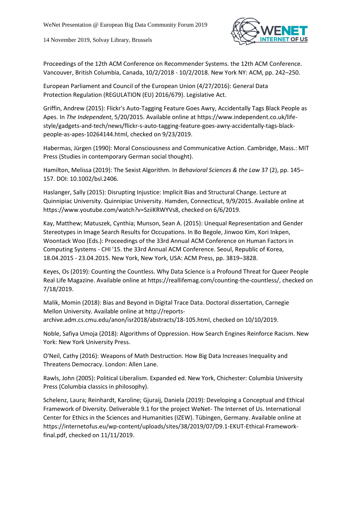

Proceedings of the 12th ACM Conference on Recommender Systems. the 12th ACM Conference. Vancouver, British Columbia, Canada, 10/2/2018 - 10/2/2018. New York NY: ACM, pp. 242–250.

European Parliament and Council of the European Union (4/27/2016): General Data Protection Regulation (REGULATION (EU) 2016/679). Legislative Act.

Griffin, Andrew (2015): Flickr's Auto-Tagging Feature Goes Awry, Accidentally Tags Black People as Apes. In *The Independent*, 5/20/2015. Available online at https://www.independent.co.uk/lifestyle/gadgets-and-tech/news/flickr-s-auto-tagging-feature-goes-awry-accidentally-tags-blackpeople-as-apes-10264144.html, checked on 9/23/2019.

Habermas, Jürgen (1990): Moral Consciousness and Communicative Action. Cambridge, Mass.: MIT Press (Studies in contemporary German social thought).

Hamilton, Melissa (2019): The Sexist Algorithm. In *Behavioral Sciences & the Law* 37 (2), pp. 145– 157. DOI: 10.1002/bsl.2406.

Haslanger, Sally (2015): Disrupting Injustice: Implicit Bias and Structural Change. Lecture at Quinnipiac University. Quinnipiac University. Hamden, Connecticut, 9/9/2015. Available online at https://www.youtube.com/watch?v=SziiKRWYVs8, checked on 6/6/2019.

Kay, Matthew; Matuszek, Cynthia; Munson, Sean A. (2015): Unequal Representation and Gender Stereotypes in Image Search Results for Occupations. In Bo Begole, Jinwoo Kim, Kori Inkpen, Woontack Woo (Eds.): Proceedings of the 33rd Annual ACM Conference on Human Factors in Computing Systems - CHI '15. the 33rd Annual ACM Conference. Seoul, Republic of Korea, 18.04.2015 - 23.04.2015. New York, New York, USA: ACM Press, pp. 3819–3828.

Keyes, Os (2019): Counting the Countless. Why Data Science is a Profound Threat for Queer People Real Life Magazine. Available online at https://reallifemag.com/counting-the-countless/, checked on 7/18/2019.

Malik, Momin (2018): Bias and Beyond in Digital Trace Data. Doctoral dissertation, Carnegie Mellon University. Available online at http://reportsarchive.adm.cs.cmu.edu/anon/isr2018/abstracts/18-105.html, checked on 10/10/2019.

Noble, Safiya Umoja (2018): Algorithms of Oppression. How Search Engines Reinforce Racism. New York: New York University Press.

O'Neil, Cathy (2016): Weapons of Math Destruction. How Big Data Increases Inequality and Threatens Democracy. London: Allen Lane.

Rawls, John (2005): Political Liberalism. Expanded ed. New York, Chichester: Columbia University Press (Columbia classics in philosophy).

Schelenz, Laura; Reinhardt, Karoline; Gjuraij, Daniela (2019): Developing a Conceptual and Ethical Framework of Diversity. Deliverable 9.1 for the project WeNet- The Internet of Us. International Center for Ethics in the Sciences and Humanities (IZEW). Tübingen, Germany. Available online at https://internetofus.eu/wp-content/uploads/sites/38/2019/07/D9.1-EKUT-Ethical-Frameworkfinal.pdf, checked on 11/11/2019.